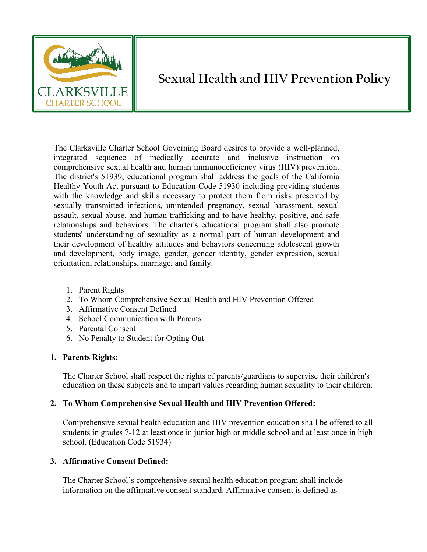

# **Sexual Health and HIV Prevention Policy**

The Clarksville Charter School Governing Board desires to provide a well-planned, integrated sequence of medically accurate and inclusive instruction on comprehensive sexual health and human immunodeficiency virus (HIV) prevention. The district's 51939, educational program shall address the goals of the California Healthy Youth Act pursuant to Education Code 51930-including providing students with the knowledge and skills necessary to protect them from risks presented by sexually transmitted infections, unintended pregnancy, sexual harassment, sexual assault, sexual abuse, and human trafficking and to have healthy, positive, and safe relationships and behaviors. The charter's educational program shall also promote students' understanding of sexuality as a normal part of human development and their development of healthy attitudes and behaviors concerning adolescent growth and development, body image, gender, gender identity, gender expression, sexual orientation, relationships, marriage, and family.

- 1. Parent Rights
- 2. To Whom Comprehensive Sexual Health and HIV Prevention Offered
- 3. Affirmative Consent Defined
- 4. School Communication with Parents
- 5. Parental Consent
- 6. No Penalty to Student for Opting Out

#### **1. Parents Rights:**

The Charter School shall respect the rights of parents/guardians to supervise their children's education on these subjects and to impart values regarding human sexuality to their children.

## **2. To Whom Comprehensive Sexual Health and HIV Prevention Offered:**

Comprehensive sexual health education and HIV prevention education shall be offered to all students in grades 7-12 at least once in junior high or middle school and at least once in high school. (Education Code 51934)

#### **3. Affirmative Consent Defined:**

The Charter School's comprehensive sexual health education program shall include information on the affirmative consent standard. Affirmative consent is defined as